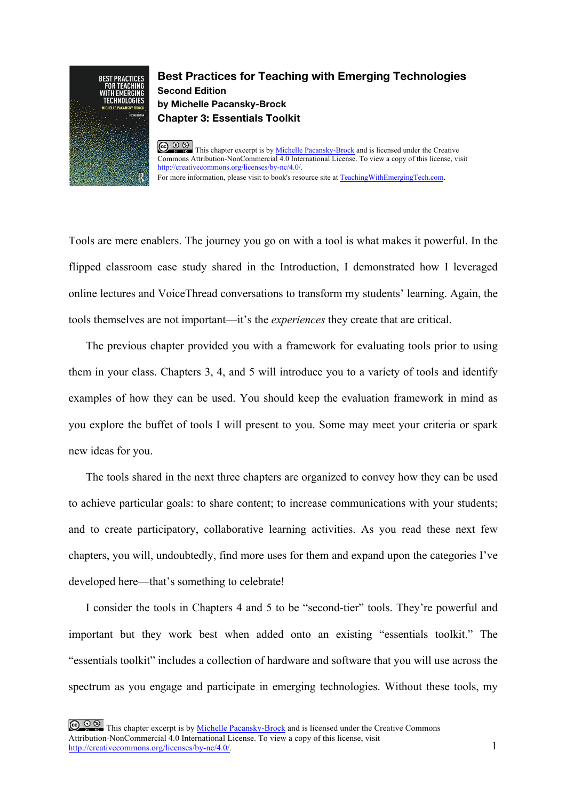

**Best Practices for Teaching with Emerging Technologies Second Edition by Michelle Pacansky-Brock Chapter 3: Essentials Toolkit**

GO  $\odot$  This chapter excerpt is by <u>Michelle Pacansky-Brock</u> and is licensed under the Creative Commons Attribution-NonCommercial 4.0 International License. To view a copy of this license, visit <http://creativecommons.org/licenses/by-nc/4.0/>. For more information, please visit to book's resource site at TeachingWithEmergingTech.com.

Tools are mere enablers. The journey you go on with a tool is what makes it powerful. In the flipped classroom case study shared in the Introduction, I demonstrated how I leveraged online lectures and VoiceThread conversations to transform my students' learning. Again, the tools themselves are not important—it's the *experiences* they create that are critical.

The previous chapter provided you with a framework for evaluating tools prior to using them in your class. Chapters 3, 4, and 5 will introduce you to a variety of tools and identify examples of how they can be used. You should keep the evaluation framework in mind as you explore the buffet of tools I will present to you. Some may meet your criteria or spark new ideas for you.

The tools shared in the next three chapters are organized to convey how they can be used to achieve particular goals: to share content; to increase communications with your students; and to create participatory, collaborative learning activities. As you read these next few chapters, you will, undoubtedly, find more uses for them and expand upon the categories I've developed here—that's something to celebrate!

I consider the tools in Chapters 4 and 5 to be "second-tier" tools. They're powerful and important but they work best when added onto an existing "essentials toolkit." The "essentials toolkit" includes a collection of hardware and software that you will use across the spectrum as you engage and participate in emerging technologies. Without these tools, my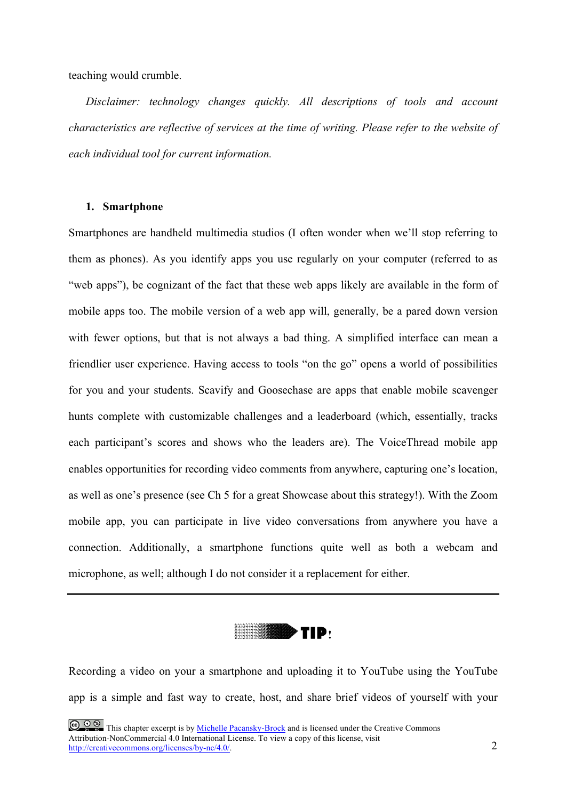teaching would crumble.

*Disclaimer: technology changes quickly. All descriptions of tools and account characteristics are reflective of services at the time of writing. Please refer to the website of each individual tool for current information.*

# **1. Smartphone**

Smartphones are handheld multimedia studios (I often wonder when we'll stop referring to them as phones). As you identify apps you use regularly on your computer (referred to as "web apps"), be cognizant of the fact that these web apps likely are available in the form of mobile apps too. The mobile version of a web app will, generally, be a pared down version with fewer options, but that is not always a bad thing. A simplified interface can mean a friendlier user experience. Having access to tools "on the go" opens a world of possibilities for you and your students. Scavify and Goosechase are apps that enable mobile scavenger hunts complete with customizable challenges and a leaderboard (which, essentially, tracks each participant's scores and shows who the leaders are). The VoiceThread mobile app enables opportunities for recording video comments from anywhere, capturing one's location, as well as one's presence (see Ch 5 for a great Showcase about this strategy!). With the Zoom mobile app, you can participate in live video conversations from anywhere you have a connection. Additionally, a smartphone functions quite well as both a webcam and microphone, as well; although I do not consider it a replacement for either.



Recording a video on your a smartphone and uploading it to YouTube using the YouTube app is a simple and fast way to create, host, and share brief videos of yourself with your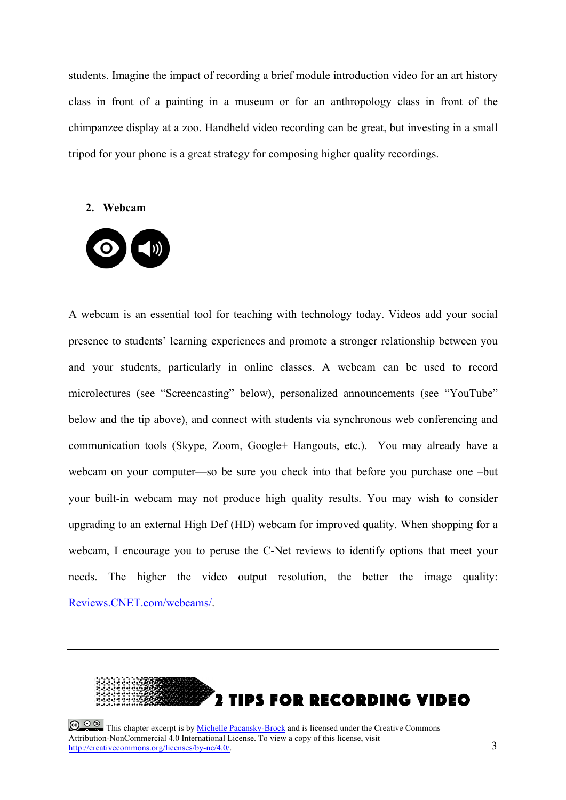students. Imagine the impact of recording a brief module introduction video for an art history class in front of a painting in a museum or for an anthropology class in front of the chimpanzee display at a zoo. Handheld video recording can be great, but investing in a small tripod for your phone is a great strategy for composing higher quality recordings.

**2. Webcam** 



A webcam is an essential tool for teaching with technology today. Videos add your social presence to students' learning experiences and promote a stronger relationship between you and your students, particularly in online classes. A webcam can be used to record microlectures (see "Screencasting" below), personalized announcements (see "YouTube" below and the tip above), and connect with students via synchronous web conferencing and communication tools (Skype, Zoom, Google+ Hangouts, etc.). You may already have a webcam on your computer—so be sure you check into that before you purchase one –but your built-in webcam may not produce high quality results. You may wish to consider upgrading to an external High Def (HD) webcam for improved quality. When shopping for a webcam, I encourage you to peruse the C-Net reviews to identify options that meet your needs. The higher the video output resolution, the better the image quality: [Reviews.CNET.com/webcams/](http://reviews.cnet.com/webcams/).



**CO O** S This chapter excerpt is by [Michelle Pacansky-Brock](http://brocansky.com) and is licensed under the Creative Commons Attribution-NonCommercial 4.0 International License. To view a copy of this license, visit <http://creativecommons.org/licenses/by-nc/4.0/>. 3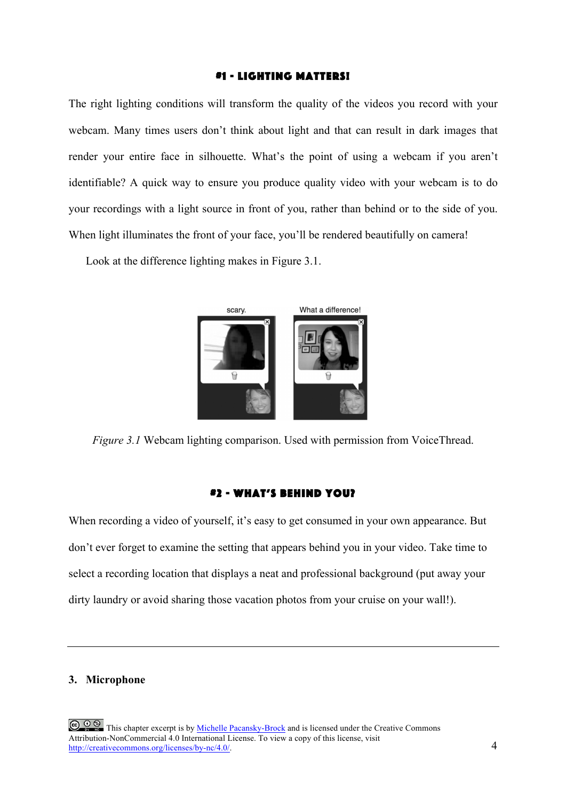## #1 - Lighting Matters!

The right lighting conditions will transform the quality of the videos you record with your webcam. Many times users don't think about light and that can result in dark images that render your entire face in silhouette. What's the point of using a webcam if you aren't identifiable? A quick way to ensure you produce quality video with your webcam is to do your recordings with a light source in front of you, rather than behind or to the side of you. When light illuminates the front of your face, you'll be rendered beautifully on camera!

Look at the difference lighting makes in Figure 3.1.



*Figure 3.1* Webcam lighting comparison. Used with permission from VoiceThread.

## #2 - What's Behind You?

When recording a video of yourself, it's easy to get consumed in your own appearance. But don't ever forget to examine the setting that appears behind you in your video. Take time to select a recording location that displays a neat and professional background (put away your dirty laundry or avoid sharing those vacation photos from your cruise on your wall!).

#### **3. Microphone**

**COO P** This chapter excerpt is by [Michelle Pacansky-Brock](http://brocansky.com) and is licensed under the Creative Commons Attribution-NonCommercial 4.0 International License. To view a copy of this license, visit <http://creativecommons.org/licenses/by-nc/4.0/>. 4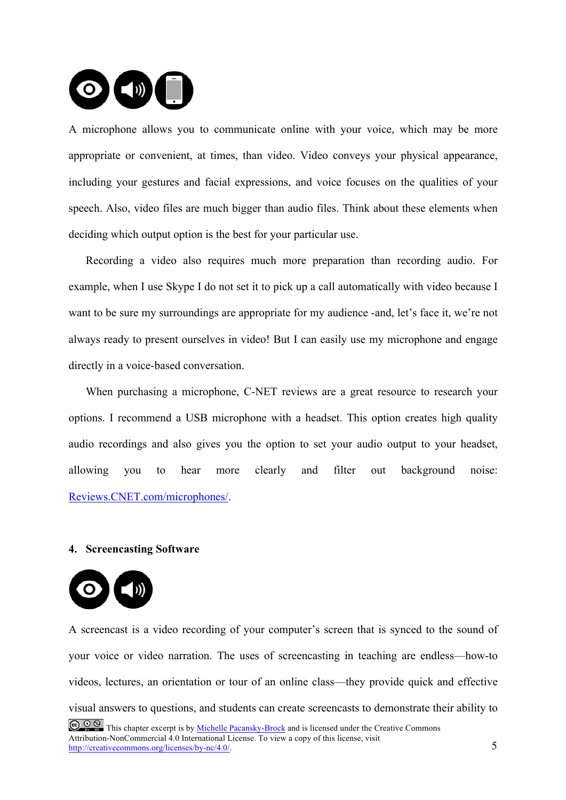

A microphone allows you to communicate online with your voice, which may be more appropriate or convenient, at times, than video. Video conveys your physical appearance, including your gestures and facial expressions, and voice focuses on the qualities of your speech. Also, video files are much bigger than audio files. Think about these elements when deciding which output option is the best for your particular use.

Recording a video also requires much more preparation than recording audio. For example, when I use Skype I do not set it to pick up a call automatically with video because I want to be sure my surroundings are appropriate for my audience -and, let's face it, we're not always ready to present ourselves in video! But I can easily use my microphone and engage directly in a voice-based conversation.

When purchasing a microphone, C-NET reviews are a great resource to research your options. I recommend a USB microphone with a headset. This option creates high quality audio recordings and also gives you the option to set your audio output to your headset, allowing you to hear more clearly and filter out background noise: [Reviews.CNET.com/microphones/](http://reviews.cnet.com/microphones/).

## **4. Screencasting Software**



A screencast is a video recording of your computer's screen that is synced to the sound of your voice or video narration. The uses of screencasting in teaching are endless—how-to videos, lectures, an orientation or tour of an online class—they provide quick and effective visual answers to questions, and students can create screencasts to demonstrate their ability to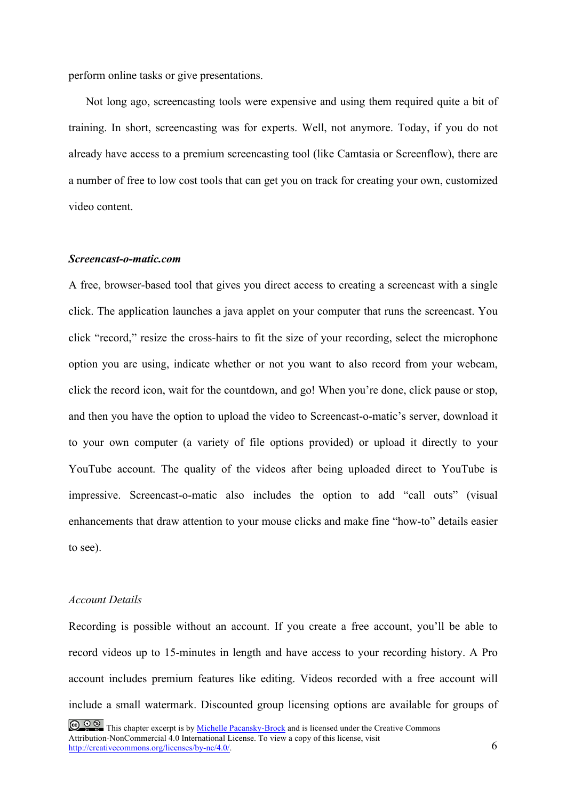perform online tasks or give presentations.

Not long ago, screencasting tools were expensive and using them required quite a bit of training. In short, screencasting was for experts. Well, not anymore. Today, if you do not already have access to a premium screencasting tool (like Camtasia or Screenflow), there are a number of free to low cost tools that can get you on track for creating your own, customized video content.

#### *Screencast-o-matic.com*

A free, browser-based tool that gives you direct access to creating a screencast with a single click. The application launches a java applet on your computer that runs the screencast. You click "record," resize the cross-hairs to fit the size of your recording, select the microphone option you are using, indicate whether or not you want to also record from your webcam, click the record icon, wait for the countdown, and go! When you're done, click pause or stop, and then you have the option to upload the video to Screencast-o-matic's server, download it to your own computer (a variety of file options provided) or upload it directly to your YouTube account. The quality of the videos after being uploaded direct to YouTube is impressive. Screencast-o-matic also includes the option to add "call outs" (visual enhancements that draw attention to your mouse clicks and make fine "how-to" details easier to see).

### *Account Details*

Recording is possible without an account. If you create a free account, you'll be able to record videos up to 15-minutes in length and have access to your recording history. A Pro account includes premium features like editing. Videos recorded with a free account will include a small watermark. Discounted group licensing options are available for groups of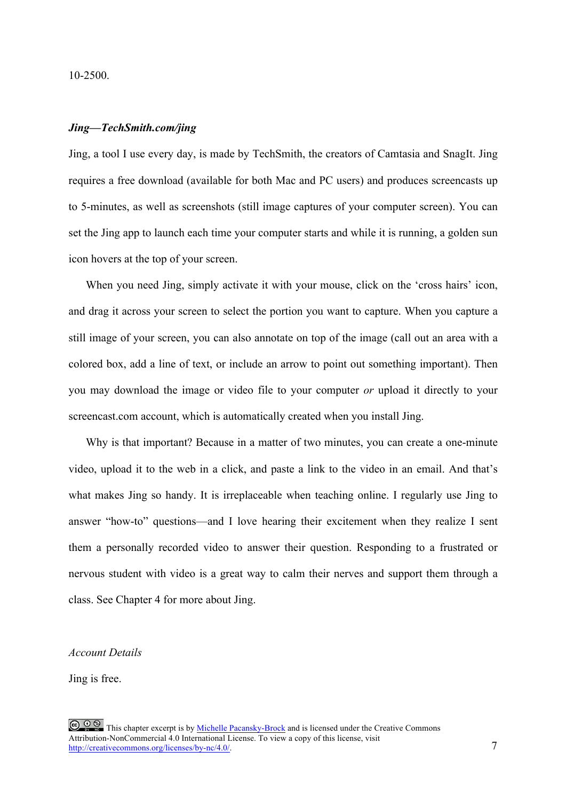10-2500.

# *Jing—TechSmith.com/jing*

Jing, a tool I use every day, is made by TechSmith, the creators of Camtasia and SnagIt. Jing requires a free download (available for both Mac and PC users) and produces screencasts up to 5-minutes, as well as screenshots (still image captures of your computer screen). You can set the Jing app to launch each time your computer starts and while it is running, a golden sun icon hovers at the top of your screen.

When you need Jing, simply activate it with your mouse, click on the 'cross hairs' icon, and drag it across your screen to select the portion you want to capture. When you capture a still image of your screen, you can also annotate on top of the image (call out an area with a colored box, add a line of text, or include an arrow to point out something important). Then you may download the image or video file to your computer *or* upload it directly to your screencast.com account, which is automatically created when you install Jing.

Why is that important? Because in a matter of two minutes, you can create a one-minute video, upload it to the web in a click, and paste a link to the video in an email. And that's what makes Jing so handy. It is irreplaceable when teaching online. I regularly use Jing to answer "how-to" questions—and I love hearing their excitement when they realize I sent them a personally recorded video to answer their question. Responding to a frustrated or nervous student with video is a great way to calm their nerves and support them through a class. See Chapter 4 for more about Jing.

# *Account Details*

Jing is free.

**CO O** S This chapter excerpt is by Michelle Pacansky-Brock and is licensed under the Creative Commons Attribution-NonCommercial 4.0 International License. To view a copy of this license, visit http://creativecommons.org/licenses/by-nc/4.0/. 7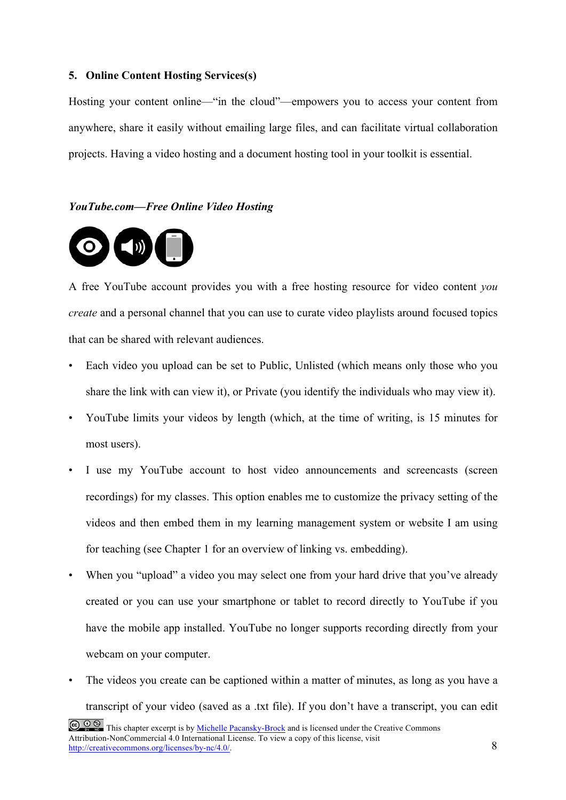# **5. Online Content Hosting Services(s)**

Hosting your content online—"in the cloud"—empowers you to access your content from anywhere, share it easily without emailing large files, and can facilitate virtual collaboration projects. Having a video hosting and a document hosting tool in your toolkit is essential.

# *YouTube.com—Free Online Video Hosting*



A free YouTube account provides you with a free hosting resource for video content *you create* and a personal channel that you can use to curate video playlists around focused topics that can be shared with relevant audiences.

- Each video you upload can be set to Public, Unlisted (which means only those who you share the link with can view it), or Private (you identify the individuals who may view it).
- YouTube limits your videos by length (which, at the time of writing, is 15 minutes for most users).
- I use my YouTube account to host video announcements and screencasts (screen recordings) for my classes. This option enables me to customize the privacy setting of the videos and then embed them in my learning management system or website I am using for teaching (see Chapter 1 for an overview of linking vs. embedding).
- When you "upload" a video you may select one from your hard drive that you've already created or you can use your smartphone or tablet to record directly to YouTube if you have the mobile app installed. YouTube no longer supports recording directly from your webcam on your computer.
- The videos you create can be captioned within a matter of minutes, as long as you have a transcript of your video (saved as a .txt file). If you don't have a transcript, you can edit